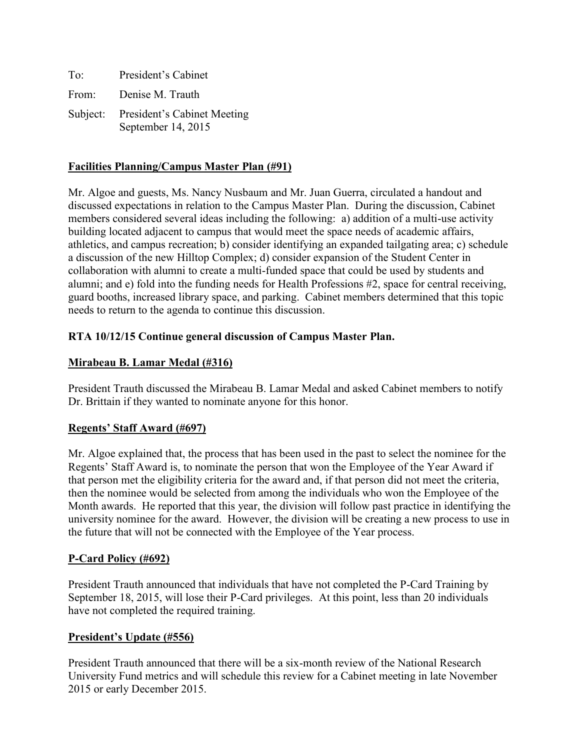| To:      | President's Cabinet                                      |
|----------|----------------------------------------------------------|
| From:    | Denise M. Trauth                                         |
| Subject: | <b>President's Cabinet Meeting</b><br>September 14, 2015 |

#### **Facilities Planning/Campus Master Plan (#91)**

Mr. Algoe and guests, Ms. Nancy Nusbaum and Mr. Juan Guerra, circulated a handout and discussed expectations in relation to the Campus Master Plan. During the discussion, Cabinet members considered several ideas including the following: a) addition of a multi-use activity building located adjacent to campus that would meet the space needs of academic affairs, athletics, and campus recreation; b) consider identifying an expanded tailgating area; c) schedule a discussion of the new Hilltop Complex; d) consider expansion of the Student Center in collaboration with alumni to create a multi-funded space that could be used by students and alumni; and e) fold into the funding needs for Health Professions #2, space for central receiving, guard booths, increased library space, and parking. Cabinet members determined that this topic needs to return to the agenda to continue this discussion.

#### **RTA 10/12/15 Continue general discussion of Campus Master Plan.**

#### **Mirabeau B. Lamar Medal (#316)**

President Trauth discussed the Mirabeau B. Lamar Medal and asked Cabinet members to notify Dr. Brittain if they wanted to nominate anyone for this honor.

#### **Regents' Staff Award (#697)**

Mr. Algoe explained that, the process that has been used in the past to select the nominee for the Regents' Staff Award is, to nominate the person that won the Employee of the Year Award if that person met the eligibility criteria for the award and, if that person did not meet the criteria, then the nominee would be selected from among the individuals who won the Employee of the Month awards. He reported that this year, the division will follow past practice in identifying the university nominee for the award. However, the division will be creating a new process to use in the future that will not be connected with the Employee of the Year process.

### **P-Card Policy (#692)**

President Trauth announced that individuals that have not completed the P-Card Training by September 18, 2015, will lose their P-Card privileges. At this point, less than 20 individuals have not completed the required training.

#### **President's Update (#556)**

President Trauth announced that there will be a six-month review of the National Research University Fund metrics and will schedule this review for a Cabinet meeting in late November 2015 or early December 2015.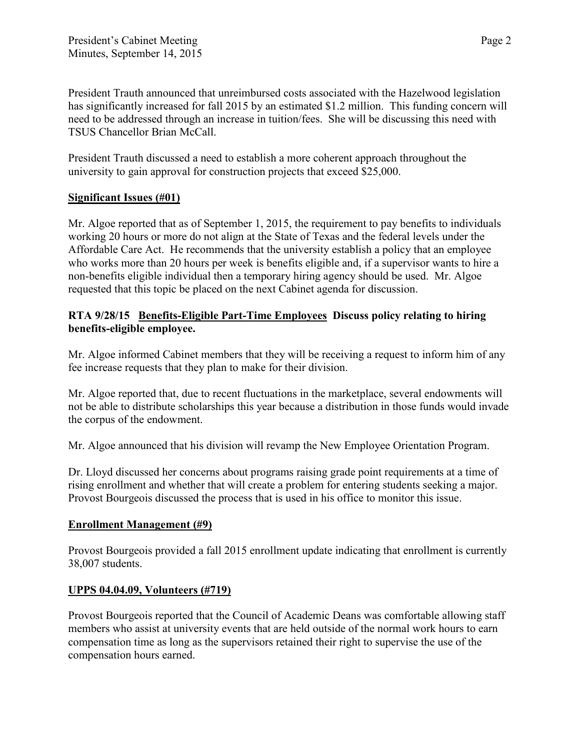President Trauth announced that unreimbursed costs associated with the Hazelwood legislation has significantly increased for fall 2015 by an estimated \$1.2 million. This funding concern will need to be addressed through an increase in tuition/fees. She will be discussing this need with TSUS Chancellor Brian McCall.

President Trauth discussed a need to establish a more coherent approach throughout the university to gain approval for construction projects that exceed \$25,000.

# **Significant Issues (#01)**

Mr. Algoe reported that as of September 1, 2015, the requirement to pay benefits to individuals working 20 hours or more do not align at the State of Texas and the federal levels under the Affordable Care Act. He recommends that the university establish a policy that an employee who works more than 20 hours per week is benefits eligible and, if a supervisor wants to hire a non-benefits eligible individual then a temporary hiring agency should be used. Mr. Algoe requested that this topic be placed on the next Cabinet agenda for discussion.

## **RTA 9/28/15 Benefits-Eligible Part-Time Employees Discuss policy relating to hiring benefits-eligible employee.**

Mr. Algoe informed Cabinet members that they will be receiving a request to inform him of any fee increase requests that they plan to make for their division.

Mr. Algoe reported that, due to recent fluctuations in the marketplace, several endowments will not be able to distribute scholarships this year because a distribution in those funds would invade the corpus of the endowment.

Mr. Algoe announced that his division will revamp the New Employee Orientation Program.

Dr. Lloyd discussed her concerns about programs raising grade point requirements at a time of rising enrollment and whether that will create a problem for entering students seeking a major. Provost Bourgeois discussed the process that is used in his office to monitor this issue.

### **Enrollment Management (#9)**

Provost Bourgeois provided a fall 2015 enrollment update indicating that enrollment is currently 38,007 students.

# **UPPS 04.04.09, Volunteers (#719)**

Provost Bourgeois reported that the Council of Academic Deans was comfortable allowing staff members who assist at university events that are held outside of the normal work hours to earn compensation time as long as the supervisors retained their right to supervise the use of the compensation hours earned.